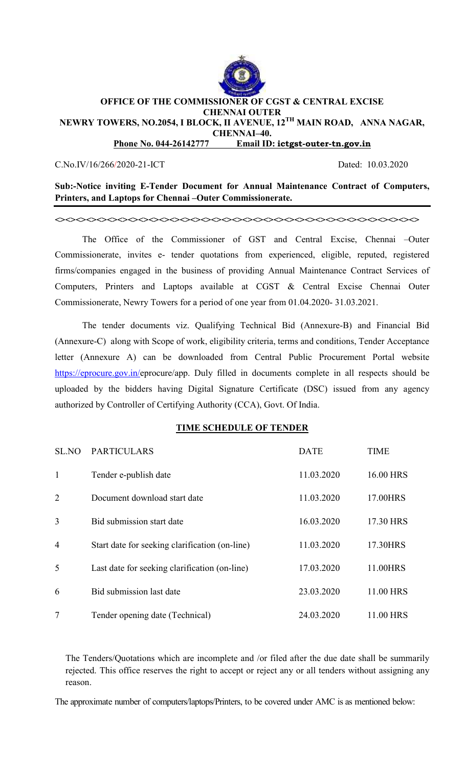

# **OFFICE OF THE COMMISSIONER OF CGST & CENTRAL EXCISE CHENNAI OUTER NEWRY TOWERS, NO.2054, I BLOCK, II AVENUE, 12TH MAIN ROAD, ANNA NAGAR, CHENNAI–40. Phone No. 044-26142777 Email ID: ictgst-outer-tn.gov.in**

### C.No.IV/16/266/2020-21-ICT Dated: 10.03.2020

**Sub:-Notice inviting E-Tender Document for Annual Maintenance Contract of Computers, Printers, and Laptops for Chennai –Outer Commissionerate.** 

**<><><><><><><><><><><><><><><><><><><><><><><><><><><><><><><><><><><>** 

The Office of the Commissioner of GST and Central Excise, Chennai –Outer Commissionerate, invites e- tender quotations from experienced, eligible, reputed, registered firms/companies engaged in the business of providing Annual Maintenance Contract Services of Computers, Printers and Laptops available at CGST & Central Excise Chennai Outer Commissionerate, Newry Towers for a period of one year from 01.04.2020- 31.03.2021.

The tender documents viz. Qualifying Technical Bid (Annexure-B) and Financial Bid (Annexure-C) along with Scope of work, eligibility criteria, terms and conditions, Tender Acceptance letter (Annexure A) can be downloaded from Central Public Procurement Portal website https://eprocure.gov.in/eprocure/app. Duly filled in documents complete in all respects should be uploaded by the bidders having Digital Signature Certificate (DSC) issued from any agency authorized by Controller of Certifying Authority (CCA), Govt. Of India.

## **TIME SCHEDULE OF TENDER**

| SL.NO          | <b>PARTICULARS</b>                             | <b>DATE</b> | <b>TIME</b> |
|----------------|------------------------------------------------|-------------|-------------|
| 1              | Tender e-publish date                          | 11.03.2020  | 16.00 HRS   |
| $\overline{2}$ | Document download start date                   | 11.03.2020  | 17.00HRS    |
| 3              | Bid submission start date                      | 16.03.2020  | 17.30 HRS   |
| $\overline{4}$ | Start date for seeking clarification (on-line) | 11.03.2020  | 17.30HRS    |
| 5              | Last date for seeking clarification (on-line)  | 17.03.2020  | 11.00HRS    |
| 6              | Bid submission last date                       | 23.03.2020  | 11.00 HRS   |
| 7              | Tender opening date (Technical)                | 24.03.2020  | 11.00 HRS   |

The Tenders/Quotations which are incomplete and /or filed after the due date shall be summarily rejected. This office reserves the right to accept or reject any or all tenders without assigning any reason.

The approximate number of computers/laptops/Printers, to be covered under AMC is as mentioned below: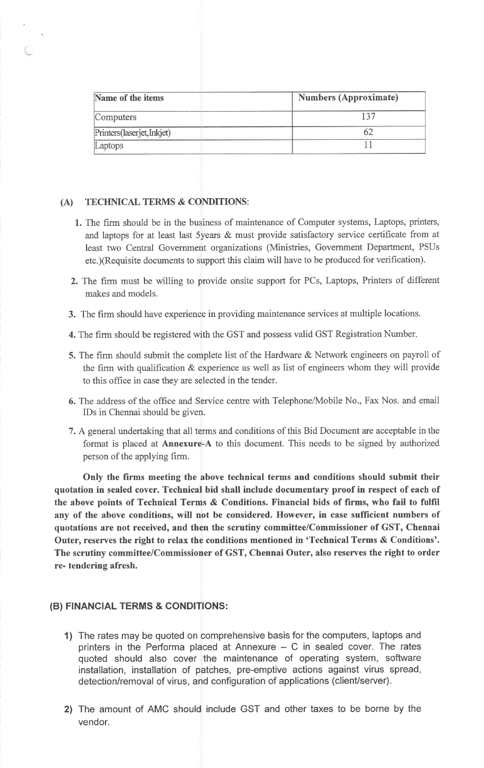| Name of the items           | <b>Numbers (Approximate)</b> |  |  |
|-----------------------------|------------------------------|--|--|
| Computers                   |                              |  |  |
| Printers (laserjet, Inkjet) |                              |  |  |
| Laptops                     |                              |  |  |

### (A) TECHNICAL TERMS & CONDITIONS:

- 1. The firm should be in the business of maintenance of Computer systems, Laptops, printers, and laptops for at least last 5years & must provide satisfactory service certificate from at least two Central Government organizations (Ministries, Government Department, PSUs etc.) (Requisite documents to support this claim will have to be produced for verification).
- 2. The firm must be willing to provide onsite support for PCs, Laptops, Printers of different makes and models.
- 3. The firm should have experience in providing maintenance services at multiple locations.
- 4. The firm should be registered with the GST and possess valid GST Registration Number.
- 5. The firm should submit the complete list of the Hardware & Network engineers on payroll of the firm with qualification & experience as well as list of engineers whom they will provide to this office in case they are selected in the tender.
- 6. The address of the office and Service centre with Telephone/Mobile No., Fax Nos. and email IDs in Chennai should be given.
- 7. A general undertaking that all terms and conditions of this Bid Document are acceptable in the format is placed at Annexure-A to this document. This needs to be signed by authorized person of the applying firm.

Only the firms meeting the above technical terms and conditions should submit their quotation in sealed cover. Technical bid shall include documentary proof in respect of each of the above points of Technical Terms & Conditions. Financial bids of firms, who fail to fulfil any of the above conditions, will not be considered. However, in case sufficient numbers of quotations are not received, and then the scrutiny committee/Commissioner of GST, Chennai Outer, reserves the right to relax the conditions mentioned in 'Technical Terms & Conditions'. The scrutiny committee/Commissioner of GST, Chennai Outer, also reserves the right to order re-tendering afresh.

### (B) FINANCIAL TERMS & CONDITIONS:

- 1) The rates may be quoted on comprehensive basis for the computers, laptops and printers in the Performa placed at Annexure  $-$  C in sealed cover. The rates quoted should also cover the maintenance of operating system, software installation, installation of patches, pre-emptive actions against virus spread, detection/removal of virus, and configuration of applications (client/server).
- 2) The amount of AMC should include GST and other taxes to be borne by the vendor.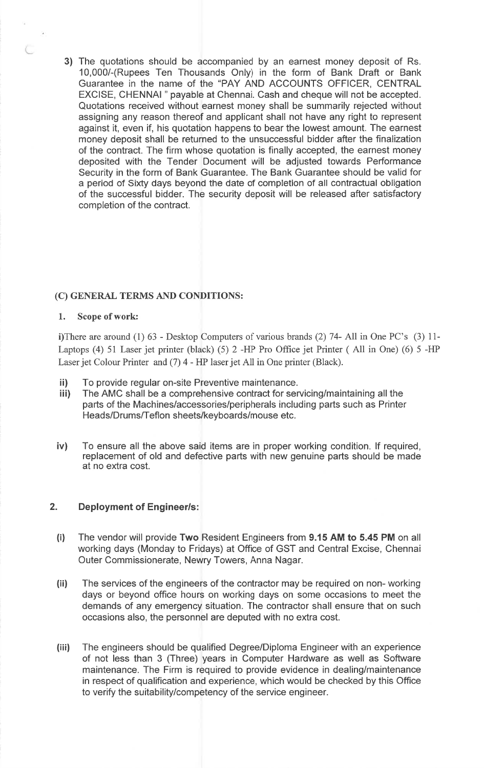3) The quotations should be accompanied by an earnest money deposit of Rs. 10,000/-(Rupees Ten Thousands Only) in the form of Bank Draft or Bank Guarantee in the name of the "PAY AND ACCOUNTS OFFICER, CENTRAL EXCISE, CHENNAI " payable at Chennai. Cash and cheque will not be accepted. Quotations received without earnest money shall be summarily rejected without assigning any reason thereof and applicant shall not have any right to represent against it, even if, his quotation happens to bear the lowest amount. The earnest money deposit shall be returned to the unsuccessful bidder after the finalization of the contract. The firm whose quotation is finally accepted, the earnest money deposited with the Tender Document will be adjusted towards Performance Security in the form of Bank Guarantee. The Bank Guarantee should be valid for a period of Sixty days beyond the date of completion of all contractual obligation of the successful bidder. The security deposit will be released after satisfactory completion of the contract.

# (C) GENERAL TERMS AND CONDITIONS:

#### $1.$ Scope of work:

i)There are around (1) 63 - Desktop Computers of various brands (2) 74- All in One PC's (3) 11-Laptops (4) 51 Laser jet printer (black) (5) 2 -HP Pro Office jet Printer (All in One) (6) 5 -HP Laser jet Colour Printer and (7) 4 - HP laser jet All in One printer (Black).

- ji) To provide regular on-site Preventive maintenance.
- The AMC shall be a comprehensive contract for servicing/maintaining all the  $iii)$ parts of the Machines/accessories/peripherals including parts such as Printer Heads/Drums/Teflon sheets/keyboards/mouse etc.
- To ensure all the above said items are in proper working condition. If required,  $iv)$ replacement of old and defective parts with new genuine parts should be made at no extra cost.

#### $2.$ **Deployment of Engineer/s:**

- The vendor will provide Two Resident Engineers from 9.15 AM to 5.45 PM on all  $(i)$ working days (Monday to Fridays) at Office of GST and Central Excise, Chennai Outer Commissionerate, Newry Towers, Anna Nagar.
- The services of the engineers of the contractor may be required on non-working  $(ii)$ days or beyond office hours on working days on some occasions to meet the demands of any emergency situation. The contractor shall ensure that on such occasions also, the personnel are deputed with no extra cost.
- $(iii)$ The engineers should be qualified Degree/Diploma Engineer with an experience of not less than 3 (Three) years in Computer Hardware as well as Software maintenance. The Firm is required to provide evidence in dealing/maintenance in respect of qualification and experience, which would be checked by this Office to verify the suitability/competency of the service engineer.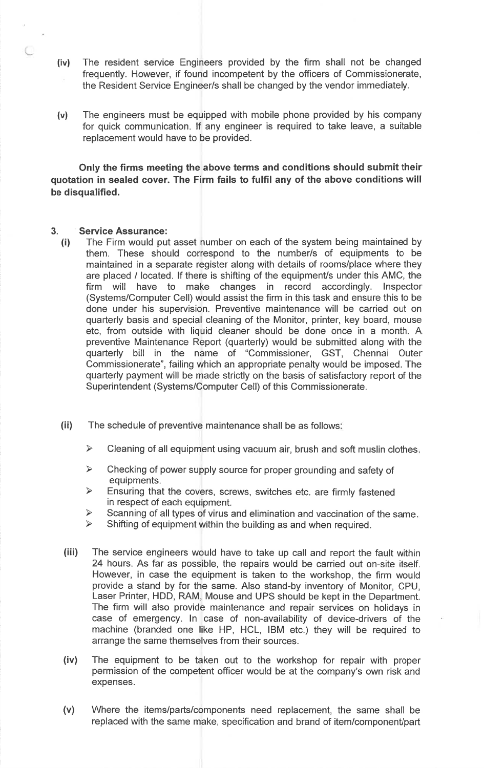- The resident service Engineers provided by the firm shall not be changed  $(iv)$ frequently. However, if found incompetent by the officers of Commissionerate, the Resident Service Engineer/s shall be changed by the vendor immediately.
- The engineers must be equipped with mobile phone provided by his company  $(v)$ for quick communication. If any engineer is required to take leave, a suitable replacement would have to be provided.

Only the firms meeting the above terms and conditions should submit their quotation in sealed cover. The Firm fails to fulfil any of the above conditions will be disqualified.

#### **Service Assurance:**  $3.$

- The Firm would put asset number on each of the system being maintained by  $(i)$ them. These should correspond to the number/s of equipments to be maintained in a separate register along with details of rooms/place where they are placed / located. If there is shifting of the equipment/s under this AMC, the firm will have to make changes in record accordingly. Inspector (Systems/Computer Cell) would assist the firm in this task and ensure this to be done under his supervision. Preventive maintenance will be carried out on quarterly basis and special cleaning of the Monitor, printer, key board, mouse etc, from outside with liquid cleaner should be done once in a month. A preventive Maintenance Report (quarterly) would be submitted along with the quarterly bill in the name of "Commissioner, GST, Chennai Outer<br>Commissionerate", failing which an appropriate penalty would be imposed. The quarterly payment will be made strictly on the basis of satisfactory report of the Superintendent (Systems/Computer Cell) of this Commissionerate.
- $(ii)$ The schedule of preventive maintenance shall be as follows:
	- $\blacktriangleright$ Cleaning of all equipment using vacuum air, brush and soft muslin clothes.
	- $\prec$ Checking of power supply source for proper grounding and safety of equipments.
	- $\blacktriangle$ Ensuring that the covers, screws, switches etc. are firmly fastened in respect of each equipment.
	- $\blacktriangleright$ Scanning of all types of virus and elimination and vaccination of the same.
	- $\prec$ Shifting of equipment within the building as and when required.
- $(iii)$ The service engineers would have to take up call and report the fault within 24 hours. As far as possible, the repairs would be carried out on-site itself. However, in case the equipment is taken to the workshop, the firm would provide a stand by for the same. Also stand-by inventory of Monitor, CPU, Laser Printer, HDD, RAM, Mouse and UPS should be kept in the Department. The firm will also provide maintenance and repair services on holidays in case of emergency. In case of non-availability of device-drivers of the machine (branded one like HP, HCL, IBM etc.) they will be required to arrange the same themselves from their sources.
- $(iv)$ The equipment to be taken out to the workshop for repair with proper permission of the competent officer would be at the company's own risk and expenses.
- $(v)$ Where the items/parts/components need replacement, the same shall be replaced with the same make, specification and brand of item/component/part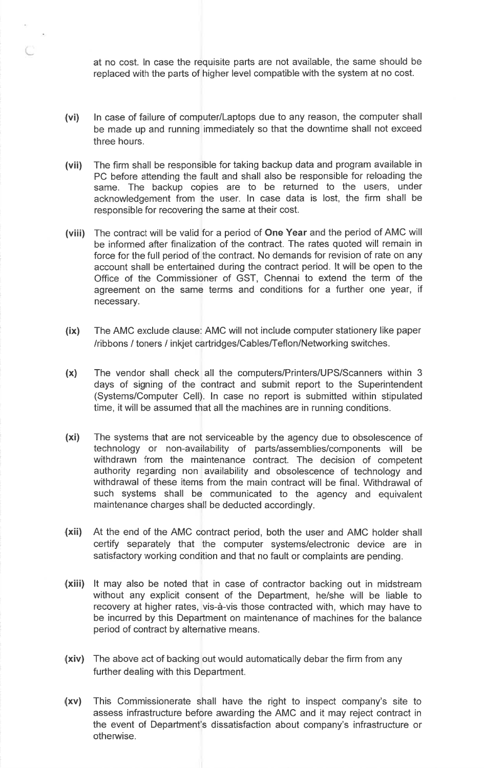at no cost. In case the requisite parts are not available, the same should be replaced with the parts of higher level compatible with the system at no cost.

- In case of failure of computer/Laptops due to any reason, the computer shall  $(vi)$ be made up and running immediately so that the downtime shall not exceed three hours.
- The firm shall be responsible for taking backup data and program available in  $(vii)$ PC before attending the fault and shall also be responsible for reloading the same. The backup copies are to be returned to the users, under acknowledgement from the user. In case data is lost, the firm shall be responsible for recovering the same at their cost.
- (viii) The contract will be valid for a period of One Year and the period of AMC will be informed after finalization of the contract. The rates quoted will remain in force for the full period of the contract. No demands for revision of rate on any account shall be entertained during the contract period. It will be open to the Office of the Commissioner of GST, Chennai to extend the term of the agreement on the same terms and conditions for a further one year, if necessary.
- The AMC exclude clause: AMC will not include computer stationery like paper  $(ix)$ /ribbons / toners / inkjet cartridges/Cables/Teflon/Networking switches.
- The vendor shall check all the computers/Printers/UPS/Scanners within 3  $(x)$ days of signing of the contract and submit report to the Superintendent (Systems/Computer Cell). In case no report is submitted within stipulated time, it will be assumed that all the machines are in running conditions.
- $(xi)$ The systems that are not serviceable by the agency due to obsolescence of technology or non-availability of parts/assemblies/components will be withdrawn from the maintenance contract. The decision of competent authority regarding non availability and obsolescence of technology and withdrawal of these items from the main contract will be final. Withdrawal of such systems shall be communicated to the agency and equivalent maintenance charges shall be deducted accordingly.
- (xii) At the end of the AMC contract period, both the user and AMC holder shall certify separately that the computer systems/electronic device are in satisfactory working condition and that no fault or complaints are pending.
- (xiii) It may also be noted that in case of contractor backing out in midstream without any explicit consent of the Department, he/she will be liable to recovery at higher rates, vis-à-vis those contracted with, which may have to be incurred by this Department on maintenance of machines for the balance period of contract by alternative means.
- (xiv) The above act of backing out would automatically debar the firm from any further dealing with this Department.
- (xv) This Commissionerate shall have the right to inspect company's site to assess infrastructure before awarding the AMC and it may reject contract in the event of Department's dissatisfaction about company's infrastructure or otherwise.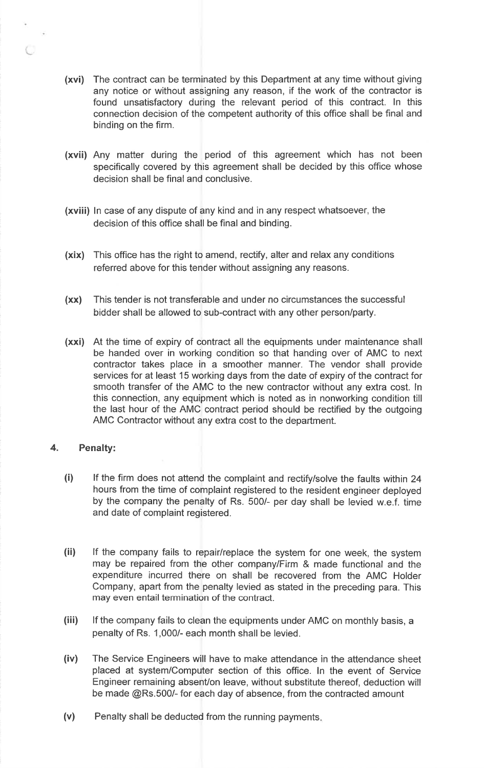- (xvi) The contract can be terminated by this Department at any time without giving any notice or without assigning any reason, if the work of the contractor is found unsatisfactory during the relevant period of this contract. In this connection decision of the competent authority of this office shall be final and binding on the firm.
- (xvii) Any matter during the period of this agreement which has not been specifically covered by this agreement shall be decided by this office whose decision shall be final and conclusive.
- (xviii) In case of any dispute of any kind and in any respect whatsoever, the decision of this office shall be final and binding.
- (xix) This office has the right to amend, rectify, alter and relax any conditions referred above for this tender without assigning any reasons.
- (xx) This tender is not transferable and under no circumstances the successful bidder shall be allowed to sub-contract with any other person/party.
- (xxi) At the time of expiry of contract all the equipments under maintenance shall be handed over in working condition so that handing over of AMC to next contractor takes place in a smoother manner. The vendor shall provide services for at least 15 working days from the date of expiry of the contract for smooth transfer of the AMC to the new contractor without any extra cost. In this connection, any equipment which is noted as in nonworking condition till the last hour of the AMC contract period should be rectified by the outgoing AMC Contractor without any extra cost to the department.

#### 4. **Penalty:**

- $(i)$ If the firm does not attend the complaint and rectify/solve the faults within 24 hours from the time of complaint registered to the resident engineer deployed by the company the penalty of Rs. 500/- per day shall be levied w.e.f. time and date of complaint registered.
- $(ii)$ If the company fails to repair/replace the system for one week, the system may be repaired from the other company/Firm & made functional and the expenditure incurred there on shall be recovered from the AMC Holder Company, apart from the penalty levied as stated in the preceding para. This may even entail termination of the contract.
- $(iii)$ If the company fails to clean the equipments under AMC on monthly basis, a penalty of Rs. 1,000/- each month shall be levied.
- $(iv)$ The Service Engineers will have to make attendance in the attendance sheet placed at system/Computer section of this office. In the event of Service Engineer remaining absent/on leave, without substitute thereof, deduction will be made @Rs.500/- for each day of absence, from the contracted amount
- $(v)$ Penalty shall be deducted from the running payments.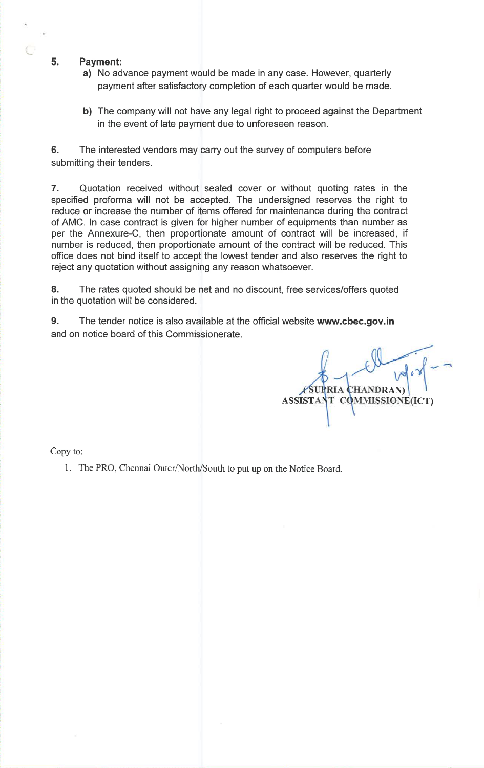#### 5. **Payment:**

- a) No advance payment would be made in any case. However, quarterly payment after satisfactory completion of each quarter would be made.
- b) The company will not have any legal right to proceed against the Department in the event of late payment due to unforeseen reason.

6. The interested vendors may carry out the survey of computers before submitting their tenders.

7. Quotation received without sealed cover or without quoting rates in the specified proforma will not be accepted. The undersigned reserves the right to reduce or increase the number of items offered for maintenance during the contract of AMC. In case contract is given for higher number of equipments than number as per the Annexure-C, then proportionate amount of contract will be increased, if number is reduced, then proportionate amount of the contract will be reduced. This office does not bind itself to accept the lowest tender and also reserves the right to reject any quotation without assigning any reason whatsoever.

8. The rates quoted should be net and no discount, free services/offers quoted in the quotation will be considered.

 $9<sub>1</sub>$ The tender notice is also available at the official website www.cbec.gov.in and on notice board of this Commissionerate.

**RIA CHANDRAN ASSISTA!** T COMMISSIONE(ICT)

Copy to:

1. The PRO, Chennai Outer/North/South to put up on the Notice Board.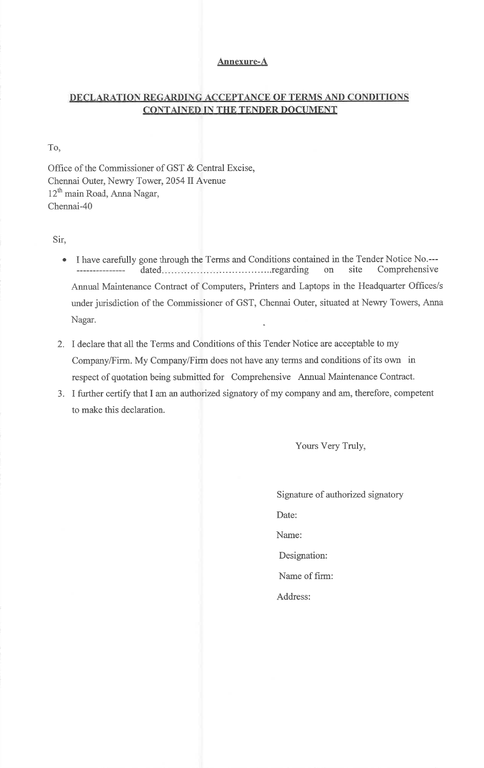### **Annexure-A**

# DECLARATION REGARDING ACCEPTANCE OF TERMS AND CONDITIONS **CONTAINED IN THE TENDER DOCUMENT**

To,

Office of the Commissioner of GST & Central Excise, Chennai Outer, Newry Tower, 2054 II Avenue 12<sup>th</sup> main Road, Anna Nagar, Chennai-40

Sir,

- I have carefully gone through the Terms and Conditions contained in the Tender Notice No.--- $\bullet$ site Comprehensive on Annual Maintenance Contract of Computers, Printers and Laptops in the Headquarter Offices/s under jurisdiction of the Commissioner of GST, Chennai Outer, situated at Newry Towers, Anna Nagar.
- 2. I declare that all the Terms and Conditions of this Tender Notice are acceptable to my Company/Firm. My Company/Firm does not have any terms and conditions of its own in respect of quotation being submitted for Comprehensive Annual Maintenance Contract.
- 3. I further certify that I am an authorized signatory of my company and am, therefore, competent to make this declaration.

Yours Very Truly,

Signature of authorized signatory Date: Name: Designation: Name of firm: Address: